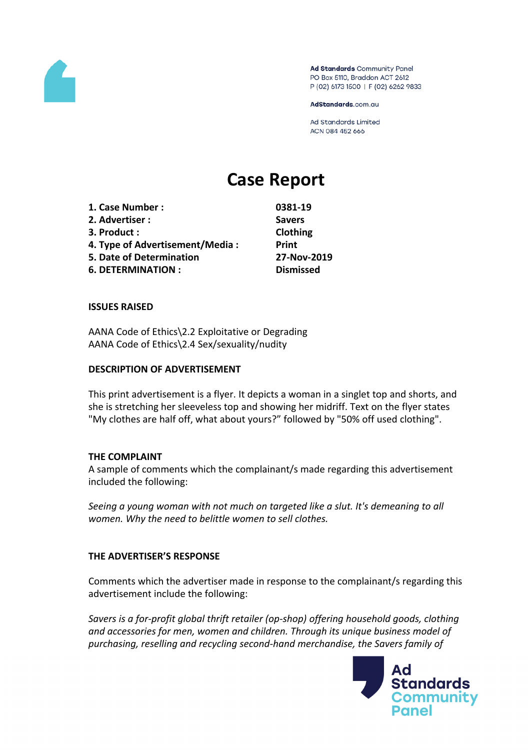

Ad Standards Community Panel PO Box 5110, Braddon ACT 2612 P (02) 6173 1500 | F (02) 6262 9833

AdStandards.com.au

**Ad Standards Limited** ACN 084 452 666

# **Case Report**

**1. Case Number : 0381-19 2. Advertiser : Savers 3. Product : Clothing 4. Type of Advertisement/Media : Print 5. Date of Determination 27-Nov-2019 6. DETERMINATION : Dismissed**

#### **ISSUES RAISED**

AANA Code of Ethics\2.2 Exploitative or Degrading AANA Code of Ethics\2.4 Sex/sexuality/nudity

#### **DESCRIPTION OF ADVERTISEMENT**

This print advertisement is a flyer. It depicts a woman in a singlet top and shorts, and she is stretching her sleeveless top and showing her midriff. Text on the flyer states "My clothes are half off, what about yours?" followed by "50% off used clothing".

#### **THE COMPLAINT**

A sample of comments which the complainant/s made regarding this advertisement included the following:

*Seeing a young woman with not much on targeted like a slut. It's demeaning to all women. Why the need to belittle women to sell clothes.*

#### **THE ADVERTISER'S RESPONSE**

Comments which the advertiser made in response to the complainant/s regarding this advertisement include the following:

*Savers is a for-profit global thrift retailer (op-shop) offering household goods, clothing and accessories for men, women and children. Through its unique business model of purchasing, reselling and recycling second-hand merchandise, the Savers family of*

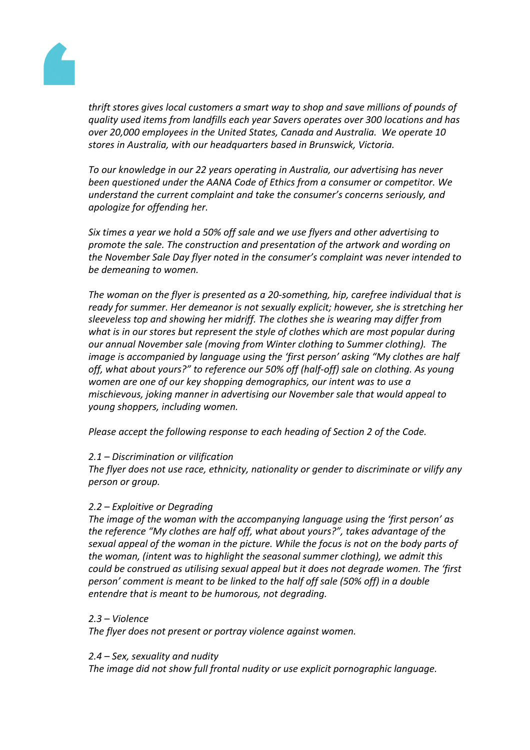

*thrift stores gives local customers a smart way to shop and save millions of pounds of quality used items from landfills each year Savers operates over 300 locations and has over 20,000 employees in the United States, Canada and Australia. We operate 10 stores in Australia, with our headquarters based in Brunswick, Victoria.*

*To our knowledge in our 22 years operating in Australia, our advertising has never been questioned under the AANA Code of Ethics from a consumer or competitor. We understand the current complaint and take the consumer's concerns seriously, and apologize for offending her.*

*Six times a year we hold a 50% off sale and we use flyers and other advertising to promote the sale. The construction and presentation of the artwork and wording on the November Sale Day flyer noted in the consumer's complaint was never intended to be demeaning to women.*

*The woman on the flyer is presented as a 20-something, hip, carefree individual that is ready for summer. Her demeanor is not sexually explicit; however, she is stretching her sleeveless top and showing her midriff. The clothes she is wearing may differ from what is in our stores but represent the style of clothes which are most popular during our annual November sale (moving from Winter clothing to Summer clothing). The image is accompanied by language using the 'first person' asking "My clothes are half off, what about yours?" to reference our 50% off (half-off) sale on clothing. As young women are one of our key shopping demographics, our intent was to use a mischievous, joking manner in advertising our November sale that would appeal to young shoppers, including women.* 

*Please accept the following response to each heading of Section 2 of the Code.*

# *2.1 – Discrimination or vilification*

*The flyer does not use race, ethnicity, nationality or gender to discriminate or vilify any person or group.* 

# *2.2 – Exploitive or Degrading*

*The image of the woman with the accompanying language using the 'first person' as the reference "My clothes are half off, what about yours?", takes advantage of the sexual appeal of the woman in the picture. While the focus is not on the body parts of the woman, (intent was to highlight the seasonal summer clothing), we admit this could be construed as utilising sexual appeal but it does not degrade women. The 'first person' comment is meant to be linked to the half off sale (50% off) in a double entendre that is meant to be humorous, not degrading.*

## *2.3 – Violence*

*The flyer does not present or portray violence against women.*

*2.4 – Sex, sexuality and nudity*

*The image did not show full frontal nudity or use explicit pornographic language.*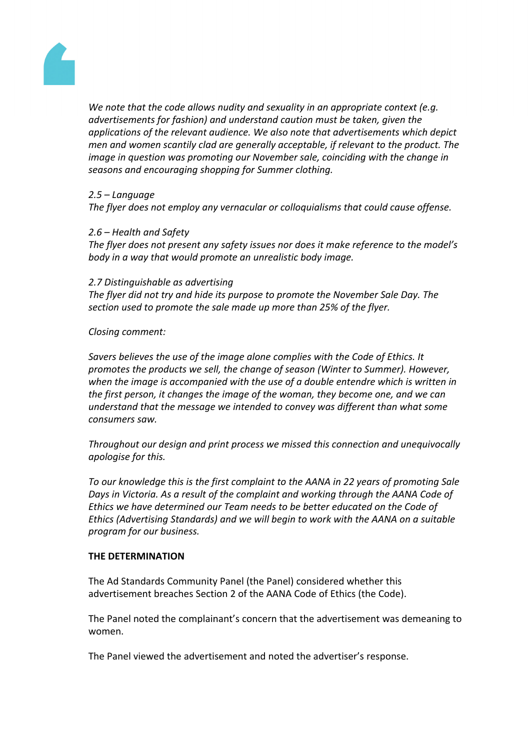

*We note that the code allows nudity and sexuality in an appropriate context (e.g. advertisements for fashion) and understand caution must be taken, given the applications of the relevant audience. We also note that advertisements which depict men and women scantily clad are generally acceptable, if relevant to the product. The image in question was promoting our November sale, coinciding with the change in seasons and encouraging shopping for Summer clothing.*

## *2.5 – Language*

*The flyer does not employ any vernacular or colloquialisms that could cause offense.*

## *2.6 – Health and Safety*

*The flyer does not present any safety issues nor does it make reference to the model's body in a way that would promote an unrealistic body image.*

#### *2.7 Distinguishable as advertising*

*The flyer did not try and hide its purpose to promote the November Sale Day. The section used to promote the sale made up more than 25% of the flyer.*

## *Closing comment:*

*Savers believes the use of the image alone complies with the Code of Ethics. It promotes the products we sell, the change of season (Winter to Summer). However, when the image is accompanied with the use of a double entendre which is written in the first person, it changes the image of the woman, they become one, and we can understand that the message we intended to convey was different than what some consumers saw.*

*Throughout our design and print process we missed this connection and unequivocally apologise for this.*

*To our knowledge this is the first complaint to the AANA in 22 years of promoting Sale Days in Victoria. As a result of the complaint and working through the AANA Code of Ethics we have determined our Team needs to be better educated on the Code of Ethics (Advertising Standards) and we will begin to work with the AANA on a suitable program for our business.*

## **THE DETERMINATION**

The Ad Standards Community Panel (the Panel) considered whether this advertisement breaches Section 2 of the AANA Code of Ethics (the Code).

The Panel noted the complainant's concern that the advertisement was demeaning to women.

The Panel viewed the advertisement and noted the advertiser's response.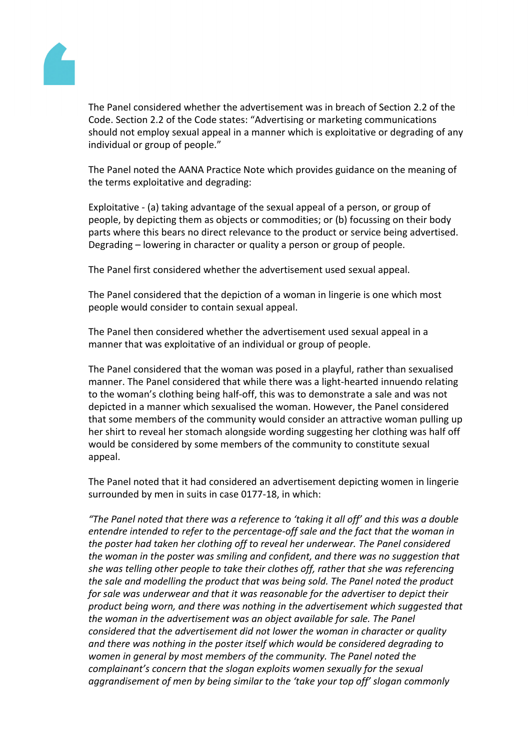

The Panel considered whether the advertisement was in breach of Section 2.2 of the Code. Section 2.2 of the Code states: "Advertising or marketing communications should not employ sexual appeal in a manner which is exploitative or degrading of any individual or group of people."

The Panel noted the AANA Practice Note which provides guidance on the meaning of the terms exploitative and degrading:

Exploitative - (a) taking advantage of the sexual appeal of a person, or group of people, by depicting them as objects or commodities; or (b) focussing on their body parts where this bears no direct relevance to the product or service being advertised. Degrading – lowering in character or quality a person or group of people.

The Panel first considered whether the advertisement used sexual appeal.

The Panel considered that the depiction of a woman in lingerie is one which most people would consider to contain sexual appeal.

The Panel then considered whether the advertisement used sexual appeal in a manner that was exploitative of an individual or group of people.

The Panel considered that the woman was posed in a playful, rather than sexualised manner. The Panel considered that while there was a light-hearted innuendo relating to the woman's clothing being half-off, this was to demonstrate a sale and was not depicted in a manner which sexualised the woman. However, the Panel considered that some members of the community would consider an attractive woman pulling up her shirt to reveal her stomach alongside wording suggesting her clothing was half off would be considered by some members of the community to constitute sexual appeal.

The Panel noted that it had considered an advertisement depicting women in lingerie surrounded by men in suits in case 0177-18, in which:

*"The Panel noted that there was a reference to 'taking it all off' and this was a double entendre intended to refer to the percentage-off sale and the fact that the woman in the poster had taken her clothing off to reveal her underwear. The Panel considered the woman in the poster was smiling and confident, and there was no suggestion that she was telling other people to take their clothes off, rather that she was referencing the sale and modelling the product that was being sold. The Panel noted the product for sale was underwear and that it was reasonable for the advertiser to depict their product being worn, and there was nothing in the advertisement which suggested that the woman in the advertisement was an object available for sale. The Panel considered that the advertisement did not lower the woman in character or quality and there was nothing in the poster itself which would be considered degrading to women in general by most members of the community. The Panel noted the complainant's concern that the slogan exploits women sexually for the sexual aggrandisement of men by being similar to the 'take your top off' slogan commonly*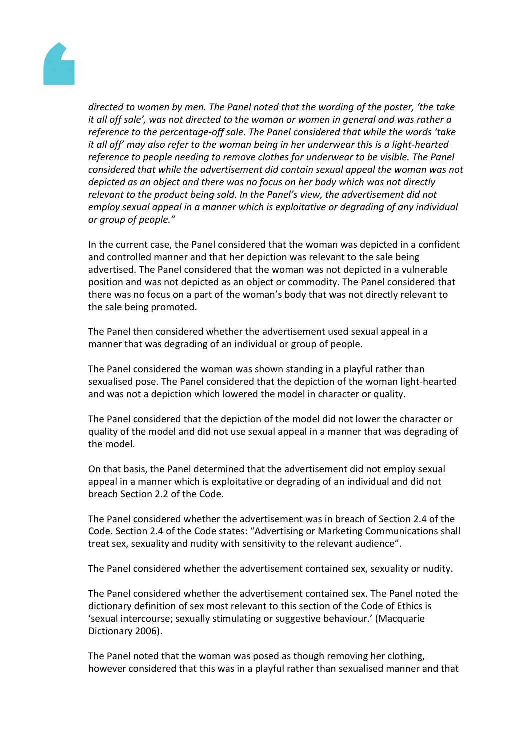

*directed to women by men. The Panel noted that the wording of the poster, 'the take it all off sale', was not directed to the woman or women in general and was rather a reference to the percentage-off sale. The Panel considered that while the words 'take it all off' may also refer to the woman being in her underwear this is a light-hearted reference to people needing to remove clothes for underwear to be visible. The Panel considered that while the advertisement did contain sexual appeal the woman was not depicted as an object and there was no focus on her body which was not directly relevant to the product being sold. In the Panel's view, the advertisement did not employ sexual appeal in a manner which is exploitative or degrading of any individual or group of people."*

In the current case, the Panel considered that the woman was depicted in a confident and controlled manner and that her depiction was relevant to the sale being advertised. The Panel considered that the woman was not depicted in a vulnerable position and was not depicted as an object or commodity. The Panel considered that there was no focus on a part of the woman's body that was not directly relevant to the sale being promoted.

The Panel then considered whether the advertisement used sexual appeal in a manner that was degrading of an individual or group of people.

The Panel considered the woman was shown standing in a playful rather than sexualised pose. The Panel considered that the depiction of the woman light-hearted and was not a depiction which lowered the model in character or quality.

The Panel considered that the depiction of the model did not lower the character or quality of the model and did not use sexual appeal in a manner that was degrading of the model.

On that basis, the Panel determined that the advertisement did not employ sexual appeal in a manner which is exploitative or degrading of an individual and did not breach Section 2.2 of the Code.

The Panel considered whether the advertisement was in breach of Section 2.4 of the Code. Section 2.4 of the Code states: "Advertising or Marketing Communications shall treat sex, sexuality and nudity with sensitivity to the relevant audience".

The Panel considered whether the advertisement contained sex, sexuality or nudity.

The Panel considered whether the advertisement contained sex. The Panel noted the dictionary definition of sex most relevant to this section of the Code of Ethics is 'sexual intercourse; sexually stimulating or suggestive behaviour.' (Macquarie Dictionary 2006).

The Panel noted that the woman was posed as though removing her clothing, however considered that this was in a playful rather than sexualised manner and that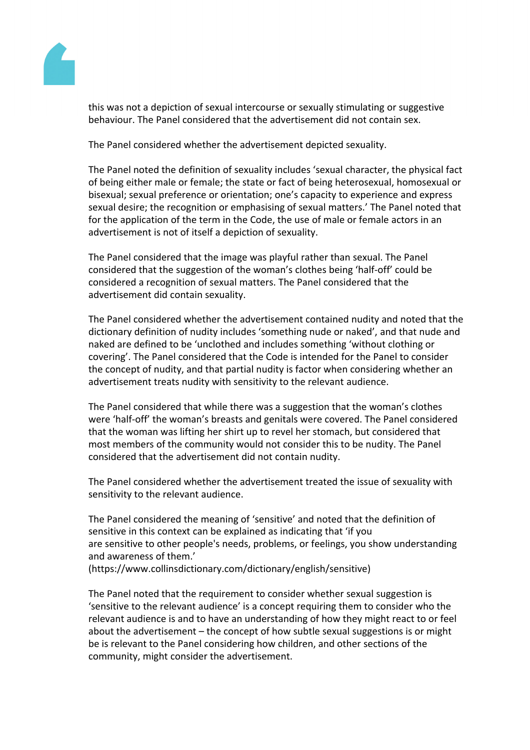

this was not a depiction of sexual intercourse or sexually stimulating or suggestive behaviour. The Panel considered that the advertisement did not contain sex.

The Panel considered whether the advertisement depicted sexuality.

The Panel noted the definition of sexuality includes 'sexual character, the physical fact of being either male or female; the state or fact of being heterosexual, homosexual or bisexual; sexual preference or orientation; one's capacity to experience and express sexual desire; the recognition or emphasising of sexual matters.' The Panel noted that for the application of the term in the Code, the use of male or female actors in an advertisement is not of itself a depiction of sexuality.

The Panel considered that the image was playful rather than sexual. The Panel considered that the suggestion of the woman's clothes being 'half-off' could be considered a recognition of sexual matters. The Panel considered that the advertisement did contain sexuality.

The Panel considered whether the advertisement contained nudity and noted that the dictionary definition of nudity includes 'something nude or naked', and that nude and naked are defined to be 'unclothed and includes something 'without clothing or covering'. The Panel considered that the Code is intended for the Panel to consider the concept of nudity, and that partial nudity is factor when considering whether an advertisement treats nudity with sensitivity to the relevant audience.

The Panel considered that while there was a suggestion that the woman's clothes were 'half-off' the woman's breasts and genitals were covered. The Panel considered that the woman was lifting her shirt up to revel her stomach, but considered that most members of the community would not consider this to be nudity. The Panel considered that the advertisement did not contain nudity.

The Panel considered whether the advertisement treated the issue of sexuality with sensitivity to the relevant audience.

The Panel considered the meaning of 'sensitive' and noted that the definition of sensitive in this context can be explained as indicating that 'if you are sensitive to other people's needs, problems, or feelings, you show understanding and awareness of them.' (https://www.collinsdictionary.com/dictionary/english/sensitive)

The Panel noted that the requirement to consider whether sexual suggestion is 'sensitive to the relevant audience' is a concept requiring them to consider who the relevant audience is and to have an understanding of how they might react to or feel about the advertisement – the concept of how subtle sexual suggestions is or might be is relevant to the Panel considering how children, and other sections of the community, might consider the advertisement.